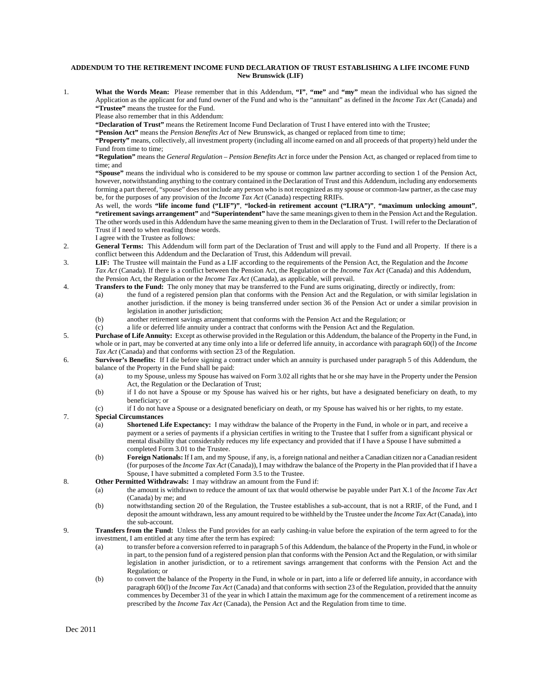## **ADDENDUM TO THE RETIREMENT INCOME FUND DECLARATION OF TRUST ESTABLISHING A LIFE INCOME FUND New Brunswick (LIF)**

1. **What the Words Mean:** Please remember that in this Addendum, **"I"**, **"me"** and **"my"** mean the individual who has signed the Application as the applicant for and fund owner of the Fund and who is the "annuitant" as defined in the *Income Tax Act* (Canada) and **"Trustee"** means the trustee for the Fund.

Please also remember that in this Addendum:

**"Declaration of Trust"** means the Retirement Income Fund Declaration of Trust I have entered into with the Trustee;

**"Pension Act"** means the *Pension Benefits Act* of New Brunswick, as changed or replaced from time to time;

**"Property"** means, collectively, all investment property (including all income earned on and all proceeds of that property) held under the Fund from time to time;

**"Regulation"** means the *General Regulation – Pension Benefits Act* in force under the Pension Act, as changed or replaced from time to time; and

**"Spouse"** means the individual who is considered to be my spouse or common law partner according to section 1 of the Pension Act, however, notwithstanding anything to the contrary contained in the Declaration of Trust and this Addendum, including any endorsements forming a part thereof, "spouse" does not include any person who is not recognized as my spouse or common-law partner, as the case may be, for the purposes of any provision of the *Income Tax Act* (Canada) respecting RRIFs.

As well, the words **"life income fund ("LIF")"**, **"locked-in retirement account ("LIRA")"**, **"maximum unlocking amount"**, **"retirement savings arrangement"** and **"Superintendent"** have the same meanings given to them in the Pension Act and the Regulation. The other words used in this Addendum have the same meaning given to them in the Declaration of Trust. I will refer to the Declaration of Trust if I need to when reading those words.

- I agree with the Trustee as follows:
- 2. **General Terms:** This Addendum will form part of the Declaration of Trust and will apply to the Fund and all Property. If there is a conflict between this Addendum and the Declaration of Trust, this Addendum will prevail.
- 3. **LIF:** The Trustee will maintain the Fund as a LIF according to the requirements of the Pension Act, the Regulation and the *Income Tax Act* (Canada). If there is a conflict between the Pension Act, the Regulation or the *Income Tax Act* (Canada) and this Addendum, the Pension Act, the Regulation or the *Income Tax Act* (Canada), as applicable, will prevail.
- 4. **Transfers to the Fund:** The only money that may be transferred to the Fund are sums originating, directly or indirectly, from:
	- (a) the fund of a registered pension plan that conforms with the Pension Act and the Regulation, or with similar legislation in another jurisdiction. if the money is being transferred under section 36 of the Pension Act or under a similar provision in legislation in another jurisdiction;
		- (b) another retirement savings arrangement that conforms with the Pension Act and the Regulation; or
	- (c) a life or deferred life annuity under a contract that conforms with the Pension Act and the Regulation.
- 5. **Purchase of Life Annuity:** Except as otherwise provided in the Regulation or this Addendum, the balance of the Property in the Fund, in whole or in part, may be converted at any time only into a life or deferred life annuity, in accordance with paragraph 60(l) of the *Income Tax Act* (Canada) and that conforms with section 23 of the Regulation.
- 6. **Survivor's Benefits:** If I die before signing a contract under which an annuity is purchased under paragraph 5 of this Addendum, the balance of the Property in the Fund shall be paid:
	- (a) to my Spouse, unless my Spouse has waived on Form 3.02 all rights that he or she may have in the Property under the Pension Act, the Regulation or the Declaration of Trust;
	- (b) if I do not have a Spouse or my Spouse has waived his or her rights, but have a designated beneficiary on death, to my beneficiary; or
	- (c) if I do not have a Spouse or a designated beneficiary on death, or my Spouse has waived his or her rights, to my estate.

## 7. **Special Circumstances**

- (a) **Shortened Life Expectancy:** I may withdraw the balance of the Property in the Fund, in whole or in part, and receive a payment or a series of payments if a physician certifies in writing to the Trustee that I suffer from a significant physical or mental disability that considerably reduces my life expectancy and provided that if I have a Spouse I have submitted a completed Form 3.01 to the Trustee.
- (b) **Foreign Nationals:** If I am, and my Spouse, if any, is, a foreign national and neither a Canadian citizen nor a Canadian resident (for purposes of the *Income Tax Act* (Canada)), I may withdraw the balance of the Property in the Plan provided that if I have a Spouse, I have submitted a completed Form 3.5 to the Trustee.
- 8. **Other Permitted Withdrawals:** I may withdraw an amount from the Fund if:
	- (a) the amount is withdrawn to reduce the amount of tax that would otherwise be payable under Part X.1 of the *Income Tax Act* (Canada) by me; and
	- (b) notwithstanding section 20 of the Regulation, the Trustee establishes a sub-account, that is not a RRIF, of the Fund, and I deposit the amount withdrawn, less any amount required to be withheld by the Trustee under the *Income Tax Act* (Canada), into the sub-account.
- 9. **Transfers from the Fund:** Unless the Fund provides for an early cashing-in value before the expiration of the term agreed to for the investment, I am entitled at any time after the term has expired:
	- (a) to transfer before a conversion referred to in paragraph 5 of this Addendum, the balance of the Property in the Fund, in whole or in part, to the pension fund of a registered pension plan that conforms with the Pension Act and the Regulation, or with similar legislation in another jurisdiction, or to a retirement savings arrangement that conforms with the Pension Act and the Regulation; or
	- (b) to convert the balance of the Property in the Fund, in whole or in part, into a life or deferred life annuity, in accordance with paragraph 60(l) of the *Income Tax Act* (Canada) and that conforms with section 23 of the Regulation, provided that the annuity commences by December 31 of the year in which I attain the maximum age for the commencement of a retirement income as prescribed by the *Income Tax Act* (Canada), the Pension Act and the Regulation from time to time.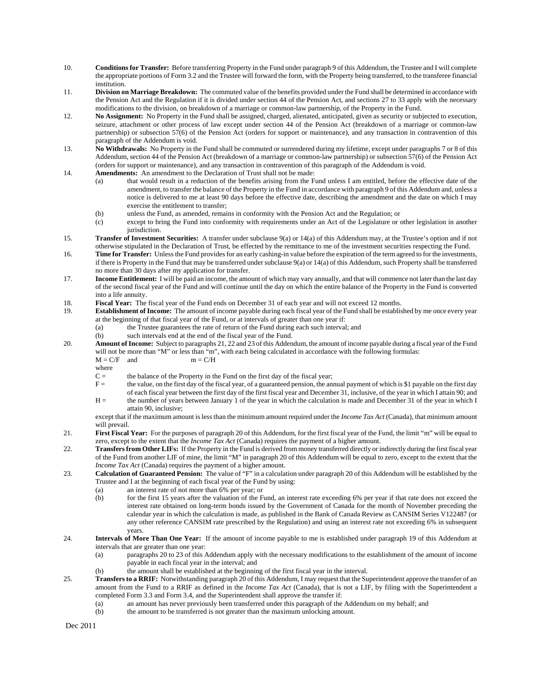- 10. **Conditions for Transfer:** Before transferring Property in the Fund under paragraph 9 of this Addendum, the Trustee and I will complete the appropriate portions of Form 3.2 and the Trustee will forward the form, with the Property being transferred, to the transferee financial institution.
- 11. **Division on Marriage Breakdown:** The commuted value of the benefits provided under the Fund shall be determined in accordance with the Pension Act and the Regulation if it is divided under section 44 of the Pension Act, and sections 27 to 33 apply with the necessary modifications to the division, on breakdown of a marriage or common-law partnership, of the Property in the Fund.
- 12. **No Assignment:** No Property in the Fund shall be assigned, charged, alienated, anticipated, given as security or subjected to execution, seizure, attachment or other process of law except under section 44 of the Pension Act (breakdown of a marriage or common-law partnership) or subsection 57(6) of the Pension Act (orders for support or maintenance), and any transaction in contravention of this paragraph of the Addendum is void.
- 13. **No Withdrawals:** No Property in the Fund shall be commuted or surrendered during my lifetime, except under paragraphs 7 or 8 of this Addendum, section 44 of the Pension Act (breakdown of a marriage or common-law partnership) or subsection 57(6) of the Pension Act (orders for support or maintenance), and any transaction in contravention of this paragraph of the Addendum is void.
- 14. **Amendments:** An amendment to the Declaration of Trust shall not be made:
	- (a) that would result in a reduction of the benefits arising from the Fund unless I am entitled, before the effective date of the amendment, to transfer the balance of the Property in the Fund in accordance with paragraph 9 of this Addendum and, unless a notice is delivered to me at least 90 days before the effective date, describing the amendment and the date on which I may exercise the entitlement to transfer;
	- (b) unless the Fund, as amended, remains in conformity with the Pension Act and the Regulation; or
	- (c) except to bring the Fund into conformity with requirements under an Act of the Legislature or other legislation in another jurisdiction.
- 15. **Transfer of Investment Securities:** A transfer under subclause 9(a) or 14(a) of this Addendum may, at the Trustee's option and if not otherwise stipulated in the Declaration of Trust, be effected by the remittance to me of the investment securities respecting the Fund.
- 16. **Time for Transfer:** Unless the Fund provides for an early cashing-in value before the expiration of the term agreed to for the investments, if there is Property in the Fund that may be transferred under subclause 9(a) or 14(a) of this Addendum, such Property shall be transferred no more than 30 days after my application for transfer.
- 17. **Income Entitlement:** I will be paid an income, the amount of which may vary annually, and that will commence not later than the last day of the second fiscal year of the Fund and will continue until the day on which the entire balance of the Property in the Fund is converted into a life annuity.
- 18. **Fiscal Year:** The fiscal year of the Fund ends on December 31 of each year and will not exceed 12 months.
- 19. **Establishment of Income:** The amount of income payable during each fiscal year of the Fund shall be established by me once every year at the beginning of that fiscal year of the Fund, or at intervals of greater than one year if:
	- (a) the Trustee guarantees the rate of return of the Fund during each such interval; and
	- (b) such intervals end at the end of the fiscal year of the Fund.
- 20. **Amount of Income:** Subject to paragraphs 21, 22 and 23 of this Addendum, the amount of income payable during a fiscal year of the Fund will not be more than "M" or less than "m", with each being calculated in accordance with the following formulas:<br> $M = C/F$  and  $m = C/H$ 
	- $M = C/F$  and
	- where
	- $C =$  the balance of the Property in the Fund on the first day of the fiscal year;
	- F = the value, on the first day of the fiscal year, of a guaranteed pension, the annual payment of which is \$1 payable on the first day of each fiscal year between the first day of the first fiscal year and December 31, inclusive, of the year in which I attain 90; and
	- H = the number of years between January 1 of the year in which the calculation is made and December 31 of the year in which I attain 90, inclusive;

except that if the maximum amount is less than the minimum amount required under the *Income Tax Act* (Canada), that minimum amount will prevail.

- 21. **First Fiscal Year:** For the purposes of paragraph 20 of this Addendum, for the first fiscal year of the Fund, the limit "m" will be equal to zero, except to the extent that the *Income Tax Act* (Canada) requires the payment of a higher amount.
- 22. **Transfers from Other LIFs:** If the Property in the Fund is derived from money transferred directly or indirectly during the first fiscal year of the Fund from another LIF of mine, the limit "M" in paragraph 20 of this Addendum will be equal to zero, except to the extent that the *Income Tax Act* (Canada) requires the payment of a higher amount.
- 23. **Calculation of Guaranteed Pension:** The value of "F" in a calculation under paragraph 20 of this Addendum will be established by the Trustee and I at the beginning of each fiscal year of the Fund by using:
	- (a) an interest rate of not more than 6% per year; or
	- (b) for the first 15 years after the valuation of the Fund, an interest rate exceeding 6% per year if that rate does not exceed the interest rate obtained on long-term bonds issued by the Government of Canada for the month of November preceding the calendar year in which the calculation is made, as published in the Bank of Canada Review as CANSIM Series V122487 (or any other reference CANSIM rate prescribed by the Regulation) and using an interest rate not exceeding 6% in subsequent years.
- 24. **Intervals of More Than One Year:** If the amount of income payable to me is established under paragraph 19 of this Addendum at intervals that are greater than one year:
	- (a) paragraphs 20 to 23 of this Addendum apply with the necessary modifications to the establishment of the amount of income payable in each fiscal year in the interval; and
	- (b) the amount shall be established at the beginning of the first fiscal year in the interval.
- 25. **Transfers to a RRIF:** Notwithstanding paragraph 20 of this Addendum, I may request that the Superintendent approve the transfer of an amount from the Fund to a RRIF as defined in the *Income Tax Act* (Canada), that is not a LIF, by filing with the Superintendent a completed Form 3.3 and Form 3.4, and the Superintendent shall approve the transfer if:
	- (a) an amount has never previously been transferred under this paragraph of the Addendum on my behalf; and
	- (b) the amount to be transferred is not greater than the maximum unlocking amount.

Dec 2011